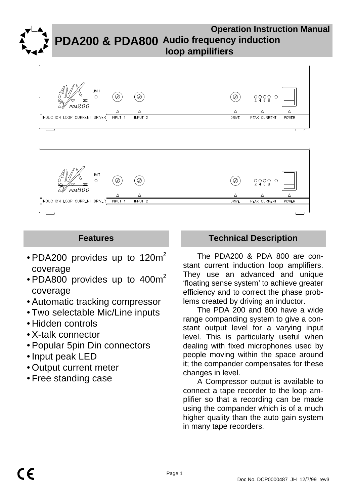**Operation Instruction Manual PDA200 & PDA800 Audio frequency induction loop ampilifiers**





- PDA200 provides up to 120 $m<sup>2</sup>$ coverage
- PDA800 provides up to  $400m^2$ coverage
- Automatic tracking compressor
- Two selectable Mic/Line inputs
- Hidden controls
- X-talk connector
- Popular 5pin Din connectors
- Input peak LED
- Output current meter
- Free standing case

# **Features Technical Description**

The PDA200 & PDA 800 are constant current induction loop amplifiers. They use an advanced and unique 'floating sense system' to achieve greater efficiency and to correct the phase problems created by driving an inductor.

The PDA 200 and 800 have a wide range companding system to give a constant output level for a varying input level. This is particularly useful when dealing with fixed microphones used by people moving within the space around it; the compander compensates for these changes in level.

A Compressor output is available to connect a tape recorder to the loop amplifier so that a recording can be made using the compander which is of a much higher quality than the auto gain system in many tape recorders.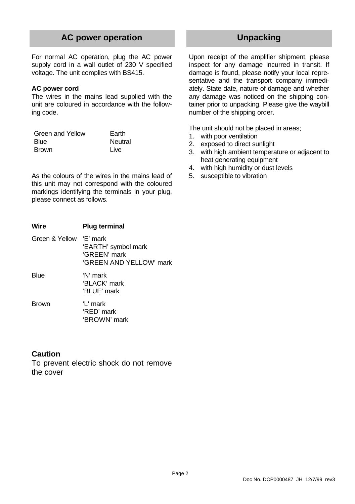## **AC power operation**

For normal AC operation, plug the AC power supply cord in a wall outlet of 230 V specified voltage. The unit complies with BS415.

### **AC power cord**

The wires in the mains lead supplied with the unit are coloured in accordance with the following code.

| Green and Yellow | Earth   |
|------------------|---------|
| <b>Blue</b>      | Neutral |
| <b>Brown</b>     | Live    |

As the colours of the wires in the mains lead of this unit may not correspond with the coloured markings identifying the terminals in your plug, please connect as follows.

| Wire           | <b>Plug terminal</b>                                                         |
|----------------|------------------------------------------------------------------------------|
| Green & Yellow | 'F' mark<br>'EARTH' symbol mark<br>'GREEN' mark<br>'GRFFN AND YFI I OW' mark |
| Blue           | 'N' mark<br>'BI ACK' mark<br>'BLUE' mark                                     |
| <b>Brown</b>   | $1$ ' mark<br>'RFD' mark<br>'BROWN' mark                                     |

## **Caution**

To prevent electric shock do not remove the cover

## **Unpacking**

Upon receipt of the amplifier shipment, please inspect for any damage incurred in transit. If damage is found, please notify your local representative and the transport company immediately. State date, nature of damage and whether any damage was noticed on the shipping container prior to unpacking. Please give the waybill number of the shipping order.

The unit should not be placed in areas;

- 1. with poor ventilation
- 2. exposed to direct sunlight
- 3. with high ambient temperature or adjacent to heat generating equipment
- 4. with high humidity or dust levels
- 5. susceptible to vibration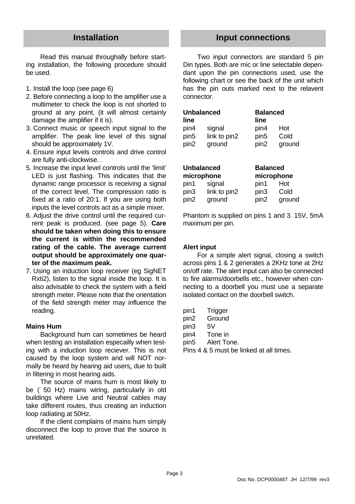Read this manual throughally before starting installation, the following procedure should be used.

- 1. Install the loop (see page 6)
- 2. Before connecting a loop to the amplifier use a multimeter to check the loop is not shorted to ground at any point, (it will almost certainly damage the amplifier if it is).
- 3. Connect music or speech input signal to the amplifier. The peak line level of this signal should be approximately 1V.
- 4. Ensure input levels controls and drive control are fully anti-clockwise. .
- 5. Increase the input level controls until the 'limit' LED is just flashing. This indicates that the dynamic range processor is receiving a signal of the correct level. The compression ratio is fixed at a ratio of 20:1. If you are using both inputs the level controls act as a simple mixer.
- 6. Adjust the drive control until the required current peak is produced. (see page 5). **Care should be taken when doing this to ensure the current is within the recommended rating of the cable. The average current output should be approximately one quarter of the maximum peak.**
- 7. Using an induction loop receiver (eg SigNET Rxti2), listen to the signal inside the loop. It is also advisable to check the system with a field strength meter. Please note that the orientation of the field strength meter may influence the reading.

#### **Mains Hum**

Background hum can sometimes be heard when testing an installation especailly when testing with a induction loop reciever. This is not caused by the loop system and will NOT normally be heard by hearing aid users, due to built in filtering in most hearing aids.

The source of mains hum is most likely to be ( 50 Hz) mains wiring, particularly in old buildings where Live and Neutral cables may take different routes, thus creating an induction loop radiating at 50Hz.

If the client complains of mains hum simply disconnect the loop to prove that the source is unrelated.

## **Installation Input connections**

Two input connectors are standard 5 pin Din types. Both are mic or line selectable dependant upon the pin connections used, use the following chart or see the back of the unit which has the pin outs marked next to the relavent connector.

| <b>Unbalanced</b> |              | <b>Balanced</b>  |        |
|-------------------|--------------|------------------|--------|
| line              |              | line             |        |
| pin4              | signal       | pin4             | Hot    |
| pin5              | link to pin2 | pin <sub>5</sub> | Cold   |
| pin2              | ground       | pin <sub>2</sub> | ground |
|                   |              |                  |        |
|                   |              |                  |        |

| <b>Unbalanced</b> |              | <b>Balanced</b>  |            |
|-------------------|--------------|------------------|------------|
|                   | microphone   |                  | microphone |
| pin1              | signal       | pin1             | Hot        |
| pin3              | link to pin2 | pin3             | Cold       |
| pin2              | ground       | pin <sub>2</sub> | ground     |

Phantom is supplied on pins 1 and 3. 15V, 5mA maximum per pin.

#### **Alert input**

For a simple alert signal, closing a switch across pins 1 & 2 generates a 2KHz tone at 2Hz on/off rate. The alert input can also be connected to fire alarms/doorbells etc., however when connecting to a doorbell you must use a separate isolated contact on the doorbell switch.

pin1 Trigger pin2 Ground pin3 5V pin4 Tone in pin5 Alert Tone.

Pins 4 & 5 must be linked at all times.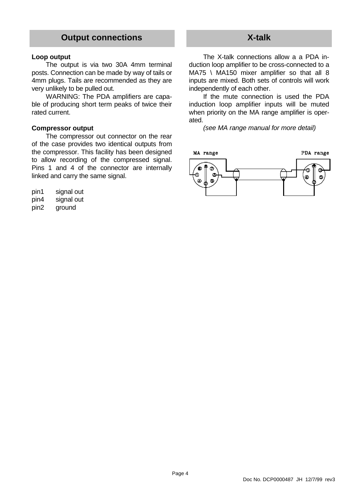## **Output connections**

#### **Loop output**

The output is via two 30A 4mm terminal posts. Connection can be made by way of tails or 4mm plugs. Tails are recommended as they are very unlikely to be pulled out.

WARNING: The PDA amplifiers are capable of producing short term peaks of twice their rated current.

#### **Compressor output**

The compressor out connector on the rear of the case provides two identical outputs from the compressor. This facility has been designed to allow recording of the compressed signal. Pins 1 and 4 of the connector are internally linked and carry the same signal.

| pin1 | signal out |  |
|------|------------|--|
| pin4 | signal out |  |

pin2 ground

## **X-talk**

The X-talk connections allow a a PDA induction loop amplifier to be cross-connected to a MA75 \ MA150 mixer amplifier so that all 8 inputs are mixed. Both sets of controls will work independently of each other.

If the mute connection is used the PDA induction loop amplifier inputs will be muted when priority on the MA range amplifier is operated.

*(see MA range manual for more detail)*

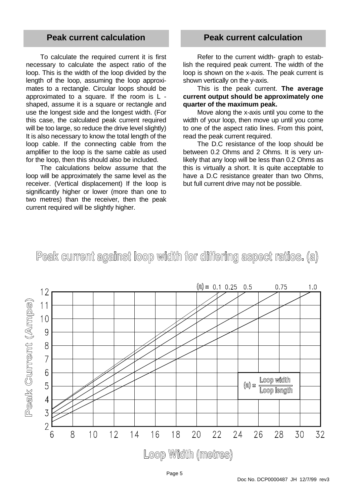## **Peak current calculation**

To calculate the required current it is first necessary to calculate the aspect ratio of the loop. This is the width of the loop divided by the length of the loop, assuming the loop approximates to a rectangle. Circular loops should be approximated to a square. If the room is L shaped, assume it is a square or rectangle and use the longest side and the longest width. (For this case, the calculated peak current required will be too large, so reduce the drive level slightly) It is also necessary to know the total length of the loop cable. If the connecting cable from the amplifier to the loop is the same cable as used for the loop, then this should also be included.

The calculations below assume that the loop will be approximately the same level as the receiver. (Vertical displacement) If the loop is significantly higher or lower (more than one to two metres) than the receiver, then the peak current required will be slightly higher.

## **Peak current calculation**

Refer to the current width- graph to establish the required peak current. The width of the loop is shown on the x-axis. The peak current is shown vertically on the y-axis.

This is the peak current. **The average current output should be approximately one quarter of the maximum peak.**

Move along the x-axis until you come to the width of your loop, then move up until you come to one of the aspect ratio lines. From this point, read the peak current required.

The D.C resistance of the loop should be between 0.2 Ohms and 2 Ohms. It is very unlikely that any loop will be less than 0.2 Ohms as this is virtually a short. It is quite acceptable to have a D.C resistance greater than two Ohms. but full current drive may not be possible.

# Peak current against loop width for differing aspect ratios. (a)

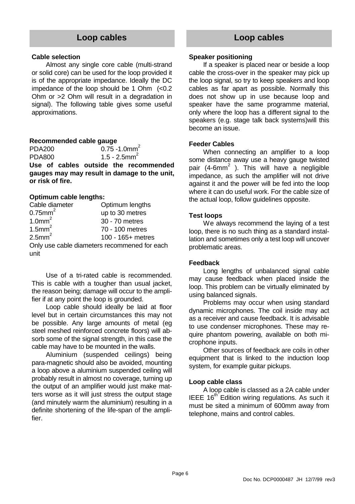## **Loop cables**

#### **Cable selection**

Almost any single core cable (multi-strand or solid core) can be used for the loop provided it is of the appropriate impedance. Ideally the DC impedance of the loop should be 1 Ohm (<0.2 Ohm or >2 Ohm will result in a degradation in signal). The following table gives some useful approximations.

#### **Recommended cable gauge**

PDA200 0.75 -1.0mm<sup>2</sup> PDA800  $1.5 - 2.5$ mm<sup>2</sup>

**Use of cables outside the recommended gauges may may result in damage to the unit, or risk of fire.**

#### **Optimum cable lengths:**

| Cable diameter         | Optimum lengths                              |
|------------------------|----------------------------------------------|
| $0.75$ mm <sup>2</sup> | up to 30 metres                              |
| 1.0mm <sup>2</sup>     | 30 - 70 metres                               |
| $1.5$ mm <sup>2</sup>  | 70 - 100 metres                              |
| $2.5$ mm <sup>2</sup>  | 100 - 165+ metres                            |
|                        | Only use cable diameters recommened for each |
| unit                   |                                              |

Use of a tri-rated cable is recommended. This is cable with a tougher than usual jacket, the reason being; damage will occur to the amplifier if at any point the loop is grounded.

Loop cable should ideally be laid at floor level but in certain circumstances this may not be possible. Any large amounts of metal (eg steel meshed reinforced concrete floors) will absorb some of the signal strength, in this case the cable may have to be mounted in the walls.

Aluminium (suspended ceilings) being para-magnetic should also be avoided, mounting a loop above a aluminium suspended ceiling will probably result in almost no coverage, turning up the output of an amplifier would just make matters worse as it will just stress the output stage (and minutely warm the aluminium) resulting in a definite shortening of the life-span of the amplifier.

## **Loop cables**

#### **Speaker positioning**

If a speaker is placed near or beside a loop cable the cross-over in the speaker may pick up the loop signal, so try to keep speakers and loop cables as far apart as possible. Normally this does not show up in use because loop and speaker have the same programme material, only where the loop has a different signal to the speakers (e.g. stage talk back systems)will this become an issue.

#### **Feeder Cables**

When connecting an amplifier to a loop some distance away use a heavy gauge twisted pair (4-6mm<sup>2</sup>). This will have a negligible impedance, as such the amplifier will not drive against it and the power will be fed into the loop where it can do useful work. For the cable size of the actual loop, follow guidelines opposite.

#### **Test loops**

We always recommend the laying of a test loop, there is no such thing as a standard installation and sometimes only a test loop will uncover problematic areas.

#### **Feedback**

Long lengths of unbalanced signal cable may cause feedback when placed inside the loop. This problem can be virtually eliminated by using balanced signals.

Problems may occur when using standard dynamic microphones. The coil inside may act as a receiver and cause feedback. It is advisable to use condenser microphones. These may require phantom powering, available on both microphone inputs.

Other sources of feedback are coils in other equipment that is linked to the induction loop system, for example guitar pickups.

#### **Loop cable class**

A loop cable is classed as a 2A cable under IEEE  $16<sup>th</sup>$  Edition wiring regulations. As such it must be sited a minimum of 600mm away from telephone, mains and control cables.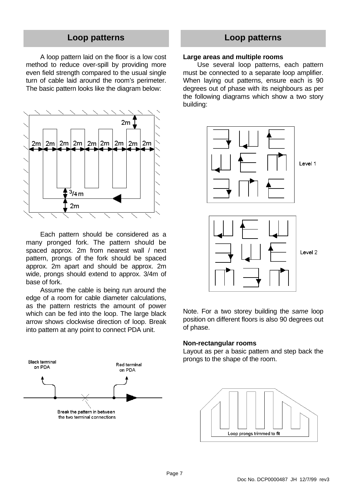## **Loop patterns**

A loop pattern laid on the floor is a low cost method to reduce over-spill by providing more even field strength compared to the usual single turn of cable laid around the room's perimeter. The basic pattern looks like the diagram below:



Each pattern should be considered as a many pronged fork. The pattern should be spaced approx. 2m from nearest wall / next pattern, prongs of the fork should be spaced approx. 2m apart and should be approx. 2m wide, prongs should extend to approx. 3/4m of base of fork.

Assume the cable is being run around the edge of a room for cable diameter calculations, as the pattern restricts the amount of power which can be fed into the loop. The large black arrow shows clockwise direction of loop. Break into pattern at any point to connect PDA unit.



## **Loop patterns**

### **Large areas and multiple rooms**

Use several loop patterns, each pattern must be connected to a separate loop amplifier. When laying out patterns, ensure each is 90 degrees out of phase with its neighbours as per the following diagrams which show a two story building:

![](_page_6_Figure_9.jpeg)

Note. For a two storey building the *same* loop position on different floors is also 90 degrees out of phase.

#### **Non-rectangular rooms**

Layout as per a basic pattern and step back the prongs to the shape of the room.

![](_page_6_Figure_13.jpeg)